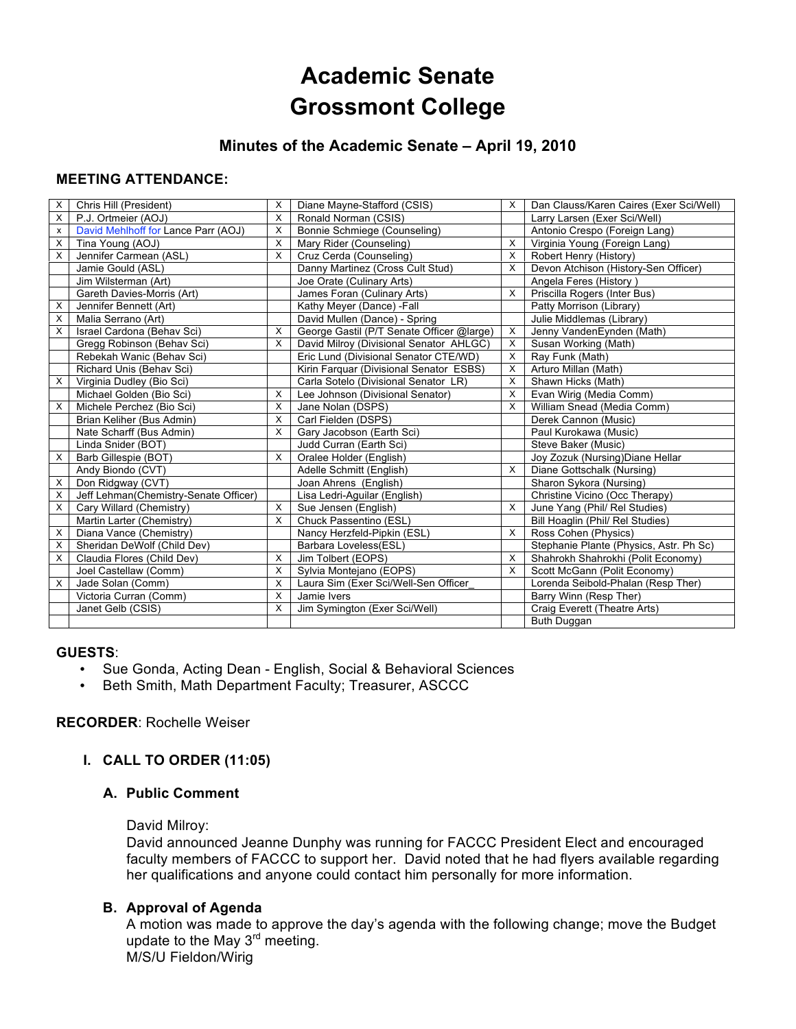# **Academic Senate Grossmont College**

## **Minutes of the Academic Senate – April 19, 2010**

## **MEETING ATTENDANCE:**

| $\times$ | Chris Hill (President)                | X        | Diane Mayne-Stafford (CSIS)               | X | Dan Clauss/Karen Caires (Exer Sci/Well) |
|----------|---------------------------------------|----------|-------------------------------------------|---|-----------------------------------------|
| X        | P.J. Ortmeier (AOJ)                   | X        | Ronald Norman (CSIS)                      |   | Larry Larsen (Exer Sci/Well)            |
| x        | David Mehlhoff for Lance Parr (AOJ)   | X        | Bonnie Schmiege (Counseling)              |   | Antonio Crespo (Foreign Lang)           |
| X        | Tina Young (AOJ)                      | X        | Mary Rider (Counseling)                   | X | Virginia Young (Foreign Lang)           |
| X        | Jennifer Carmean (ASL)                | $\times$ | Cruz Cerda (Counseling)                   | X | Robert Henry (History)                  |
|          | Jamie Gould (ASL)                     |          | Danny Martinez (Cross Cult Stud)          | X | Devon Atchison (History-Sen Officer)    |
|          | Jim Wilsterman (Art)                  |          | Joe Orate (Culinary Arts)                 |   | Angela Feres (History)                  |
|          | Gareth Davies-Morris (Art)            |          | James Foran (Culinary Arts)               | X | Priscilla Rogers (Inter Bus)            |
| X        | Jennifer Bennett (Art)                |          | Kathy Meyer (Dance) - Fall                |   | Patty Morrison (Library)                |
| х        | Malia Serrano (Art)                   |          | David Mullen (Dance) - Spring             |   | Julie Middlemas (Library)               |
| X        | Israel Cardona (Behav Sci)            | X        | George Gastil (P/T Senate Officer @large) | X | Jenny VandenEynden (Math)               |
|          | Gregg Robinson (Behav Sci)            | X        | David Milroy (Divisional Senator AHLGC)   | X | Susan Working (Math)                    |
|          | Rebekah Wanic (Behav Sci)             |          | Eric Lund (Divisional Senator CTE/WD)     | X | Ray Funk (Math)                         |
|          | Richard Unis (Behav Sci)              |          | Kirin Farquar (Divisional Senator ESBS)   | X | Arturo Millan (Math)                    |
| X        | Virginia Dudley (Bio Sci)             |          | Carla Sotelo (Divisional Senator LR)      | X | Shawn Hicks (Math)                      |
|          | Michael Golden (Bio Sci)              | X        | Lee Johnson (Divisional Senator)          | X | Evan Wirig (Media Comm)                 |
| X        | Michele Perchez (Bio Sci)             | X        | Jane Nolan (DSPS)                         | X | William Snead (Media Comm)              |
|          | Brian Keliher (Bus Admin)             | $\times$ | Carl Fielden (DSPS)                       |   | Derek Cannon (Music)                    |
|          | Nate Scharff (Bus Admin)              | X        | Gary Jacobson (Earth Sci)                 |   | Paul Kurokawa (Music)                   |
|          | Linda Snider (BOT)                    |          | Judd Curran (Earth Sci)                   |   | Steve Baker (Music)                     |
| X        | Barb Gillespie (BOT)                  | $\times$ | Oralee Holder (English)                   |   | Joy Zozuk (Nursing) Diane Hellar        |
|          | Andy Biondo (CVT)                     |          | Adelle Schmitt (English)                  | X | Diane Gottschalk (Nursing)              |
| X        | Don Ridgway (CVT)                     |          | Joan Ahrens (English)                     |   | Sharon Sykora (Nursing)                 |
| X        | Jeff Lehman(Chemistry-Senate Officer) |          | Lisa Ledri-Aguilar (English)              |   | Christine Vicino (Occ Therapy)          |
| X        | Cary Willard (Chemistry)              | X        | Sue Jensen (English)                      | X | June Yang (Phil/ Rel Studies)           |
|          | Martin Larter (Chemistry)             | $\times$ | Chuck Passentino (ESL)                    |   | Bill Hoaglin (Phil/ Rel Studies)        |
| X        | Diana Vance (Chemistry)               |          | Nancy Herzfeld-Pipkin (ESL)               | X | Ross Cohen (Physics)                    |
| X        | Sheridan DeWolf (Child Dev)           |          | Barbara Loveless(ESL)                     |   | Stephanie Plante (Physics, Astr. Ph Sc) |
| X        | Claudia Flores (Child Dev)            | X        | Jim Tolbert (EOPS)                        | X | Shahrokh Shahrokhi (Polit Economy)      |
|          | Joel Castellaw (Comm)                 | X        | Sylvia Montejano (EOPS)                   | X | Scott McGann (Polit Economy)            |
| X        | Jade Solan (Comm)                     | X        | Laura Sim (Exer Sci/Well-Sen Officer      |   | Lorenda Seibold-Phalan (Resp Ther)      |
|          | Victoria Curran (Comm)                | X        | Jamie Ivers                               |   | Barry Winn (Resp Ther)                  |
|          | Janet Gelb (CSIS)                     | X        | Jim Symington (Exer Sci/Well)             |   | Craig Everett (Theatre Arts)            |
|          |                                       |          |                                           |   | Buth Duggan                             |

#### **GUESTS**:

- Sue Gonda, Acting Dean English, Social & Behavioral Sciences
- Beth Smith, Math Department Faculty; Treasurer, ASCCC

## **RECORDER**: Rochelle Weiser

## **I. CALL TO ORDER (11:05)**

## **A. Public Comment**

#### David Milroy:

David announced Jeanne Dunphy was running for FACCC President Elect and encouraged faculty members of FACCC to support her. David noted that he had flyers available regarding her qualifications and anyone could contact him personally for more information.

## **B. Approval of Agenda**

A motion was made to approve the day's agenda with the following change; move the Budget update to the May 3<sup>rd</sup> meeting. M/S/U Fieldon/Wirig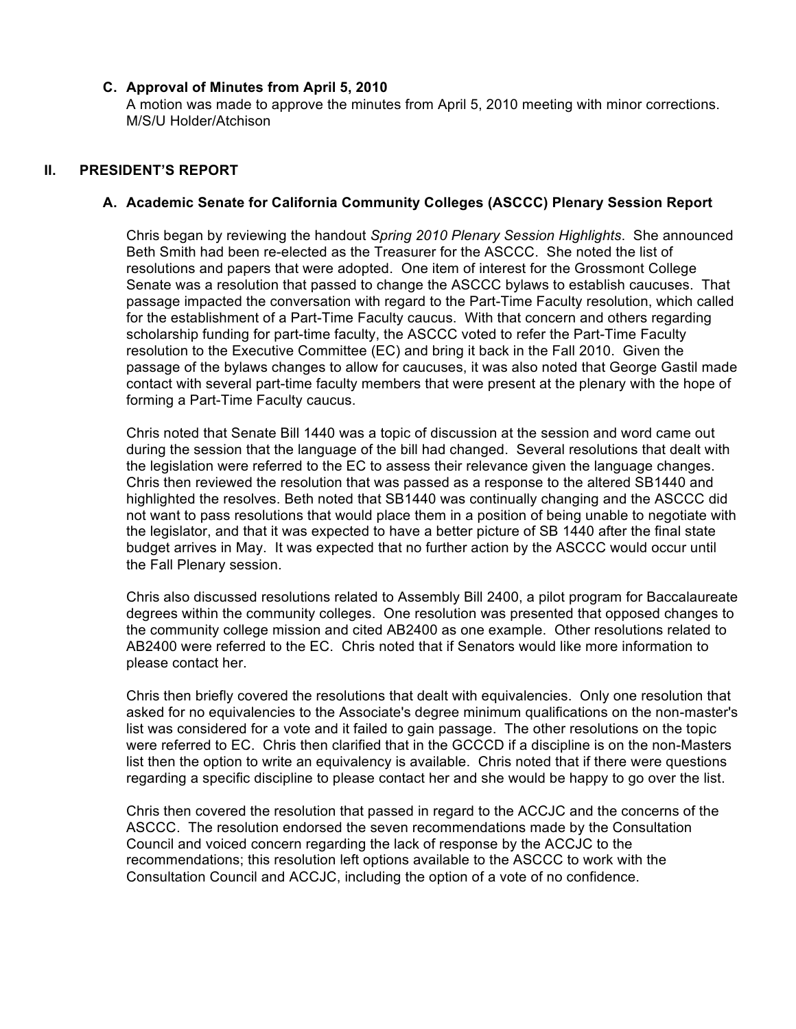#### **C. Approval of Minutes from April 5, 2010**

A motion was made to approve the minutes from April 5, 2010 meeting with minor corrections. M/S/U Holder/Atchison

## **II. PRESIDENT'S REPORT**

#### **A. Academic Senate for California Community Colleges (ASCCC) Plenary Session Report**

Chris began by reviewing the handout *Spring 2010 Plenary Session Highlights*. She announced Beth Smith had been re-elected as the Treasurer for the ASCCC. She noted the list of resolutions and papers that were adopted. One item of interest for the Grossmont College Senate was a resolution that passed to change the ASCCC bylaws to establish caucuses. That passage impacted the conversation with regard to the Part-Time Faculty resolution, which called for the establishment of a Part-Time Faculty caucus. With that concern and others regarding scholarship funding for part-time faculty, the ASCCC voted to refer the Part-Time Faculty resolution to the Executive Committee (EC) and bring it back in the Fall 2010. Given the passage of the bylaws changes to allow for caucuses, it was also noted that George Gastil made contact with several part-time faculty members that were present at the plenary with the hope of forming a Part-Time Faculty caucus.

Chris noted that Senate Bill 1440 was a topic of discussion at the session and word came out during the session that the language of the bill had changed. Several resolutions that dealt with the legislation were referred to the EC to assess their relevance given the language changes. Chris then reviewed the resolution that was passed as a response to the altered SB1440 and highlighted the resolves. Beth noted that SB1440 was continually changing and the ASCCC did not want to pass resolutions that would place them in a position of being unable to negotiate with the legislator, and that it was expected to have a better picture of SB 1440 after the final state budget arrives in May. It was expected that no further action by the ASCCC would occur until the Fall Plenary session.

Chris also discussed resolutions related to Assembly Bill 2400, a pilot program for Baccalaureate degrees within the community colleges. One resolution was presented that opposed changes to the community college mission and cited AB2400 as one example. Other resolutions related to AB2400 were referred to the EC. Chris noted that if Senators would like more information to please contact her.

Chris then briefly covered the resolutions that dealt with equivalencies. Only one resolution that asked for no equivalencies to the Associate's degree minimum qualifications on the non-master's list was considered for a vote and it failed to gain passage. The other resolutions on the topic were referred to EC. Chris then clarified that in the GCCCD if a discipline is on the non-Masters list then the option to write an equivalency is available. Chris noted that if there were questions regarding a specific discipline to please contact her and she would be happy to go over the list.

Chris then covered the resolution that passed in regard to the ACCJC and the concerns of the ASCCC. The resolution endorsed the seven recommendations made by the Consultation Council and voiced concern regarding the lack of response by the ACCJC to the recommendations; this resolution left options available to the ASCCC to work with the Consultation Council and ACCJC, including the option of a vote of no confidence.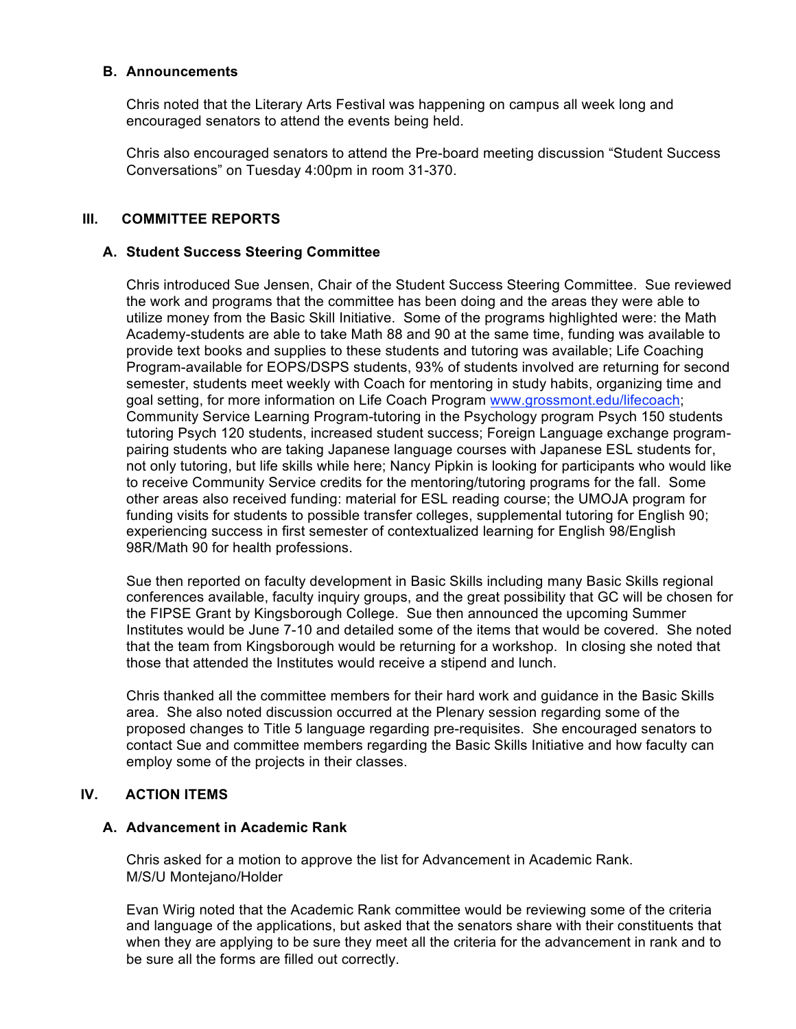#### **B. Announcements**

Chris noted that the Literary Arts Festival was happening on campus all week long and encouraged senators to attend the events being held.

Chris also encouraged senators to attend the Pre-board meeting discussion "Student Success Conversations" on Tuesday 4:00pm in room 31-370.

## **III. COMMITTEE REPORTS**

#### **A. Student Success Steering Committee**

Chris introduced Sue Jensen, Chair of the Student Success Steering Committee. Sue reviewed the work and programs that the committee has been doing and the areas they were able to utilize money from the Basic Skill Initiative. Some of the programs highlighted were: the Math Academy-students are able to take Math 88 and 90 at the same time, funding was available to provide text books and supplies to these students and tutoring was available; Life Coaching Program-available for EOPS/DSPS students, 93% of students involved are returning for second semester, students meet weekly with Coach for mentoring in study habits, organizing time and goal setting, for more information on Life Coach Program www.grossmont.edu/lifecoach; Community Service Learning Program-tutoring in the Psychology program Psych 150 students tutoring Psych 120 students, increased student success; Foreign Language exchange programpairing students who are taking Japanese language courses with Japanese ESL students for, not only tutoring, but life skills while here; Nancy Pipkin is looking for participants who would like to receive Community Service credits for the mentoring/tutoring programs for the fall. Some other areas also received funding: material for ESL reading course; the UMOJA program for funding visits for students to possible transfer colleges, supplemental tutoring for English 90; experiencing success in first semester of contextualized learning for English 98/English 98R/Math 90 for health professions.

Sue then reported on faculty development in Basic Skills including many Basic Skills regional conferences available, faculty inquiry groups, and the great possibility that GC will be chosen for the FIPSE Grant by Kingsborough College. Sue then announced the upcoming Summer Institutes would be June 7-10 and detailed some of the items that would be covered. She noted that the team from Kingsborough would be returning for a workshop. In closing she noted that those that attended the Institutes would receive a stipend and lunch.

Chris thanked all the committee members for their hard work and guidance in the Basic Skills area. She also noted discussion occurred at the Plenary session regarding some of the proposed changes to Title 5 language regarding pre-requisites. She encouraged senators to contact Sue and committee members regarding the Basic Skills Initiative and how faculty can employ some of the projects in their classes.

## **IV. ACTION ITEMS**

#### **A. Advancement in Academic Rank**

Chris asked for a motion to approve the list for Advancement in Academic Rank. M/S/U Montejano/Holder

Evan Wirig noted that the Academic Rank committee would be reviewing some of the criteria and language of the applications, but asked that the senators share with their constituents that when they are applying to be sure they meet all the criteria for the advancement in rank and to be sure all the forms are filled out correctly.